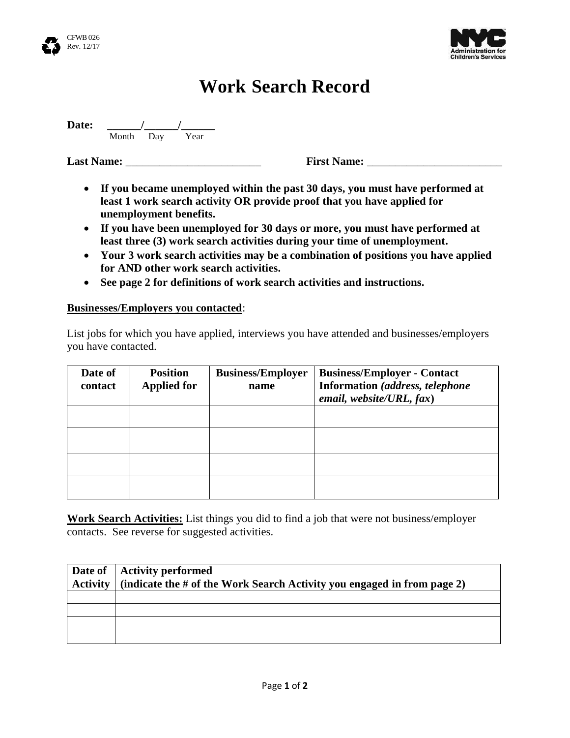



## **Work Search Record**

**Date: \_\_\_\_\_\_/\_\_\_\_\_\_/\_\_\_\_\_\_**

**Month Day Year** 

**Last Name: Last Name: First Name:**  $\qquad \qquad$  **First Name:**  $\qquad \qquad$ 

- **If you became unemployed within the past 30 days, you must have performed at least 1 work search activity OR provide proof that you have applied for unemployment benefits.**
- **If you have been unemployed for 30 days or more, you must have performed at least three (3) work search activities during your time of unemployment.**
- **Your 3 work search activities may be a combination of positions you have applied for AND other work search activities.**
- **See page 2 for definitions of work search activities and instructions.**

## **Businesses/Employers you contacted**:

List jobs for which you have applied, interviews you have attended and businesses/employers you have contacted.

| Date of<br>contact | <b>Position</b><br><b>Applied for</b> | <b>Business/Employer</b><br>name | <b>Business/Employer - Contact</b><br>Information (address, telephone<br>email, website/URL, $fax$ ) |
|--------------------|---------------------------------------|----------------------------------|------------------------------------------------------------------------------------------------------|
|                    |                                       |                                  |                                                                                                      |
|                    |                                       |                                  |                                                                                                      |
|                    |                                       |                                  |                                                                                                      |
|                    |                                       |                                  |                                                                                                      |

**Work Search Activities:** List things you did to find a job that were not business/employer contacts. See reverse for suggested activities.

| Date of   Activity performed<br>Activity $\vert$ (indicate the # of the Work Search Activity you engaged in from page 2) |
|--------------------------------------------------------------------------------------------------------------------------|
|                                                                                                                          |
|                                                                                                                          |
|                                                                                                                          |
|                                                                                                                          |